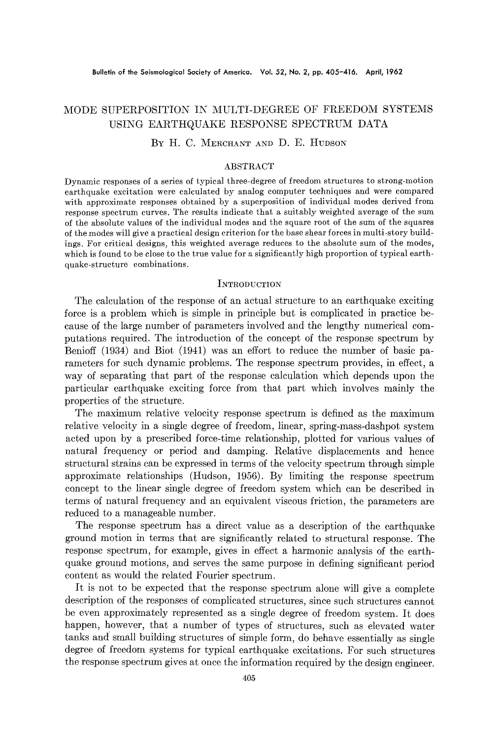# MODE SUPERPOSITION IN MULTI-DEGREE OF FREEDOM SYSTEMS USING EARTHQUAKE RESPONSE SPECTRUM DATA

# BY H. C. MERCHANT AND D. E. HUDSON

### ABSTRACT

Dynamic responses of a series of typical three-degree of freedom structures to strong-motion earthquake excitation were calculated by analog computer techniques and were compared with approximate responses obtained by a superposition of individual modes derived from response spectrum curves. The results indicate that a suitably weighted average of the sum of the absolute values of the individual modes and the square root of the sum of the squares of the modes will give a practical design criterion for the base shear forces in multi-story buildings. For critical designs, this weighted average reduces to the absolute sum of the modes, which is found to be close to the true value for a significantly high proportion of typical earthquake-structure combinations.

#### **INTRODUCTION**

The calculation of the response of an actual structure to an earthquake exciting force is a problem which is simple in principle but is complicated in practice because of the large number of parameters involved and the lengthy numerical computations required. The introduction of the concept of the response spectrum by Benioff (1934) and Blot (1941) was an effort to reduce the number of basic parameters for such dynamic problems. The response spectrum provides, in effect, a way of separating that part of the response calculation which depends upon the particular earthquake exciting force from that part which involves mainly the properties of the structure.

The maximum relative velocity response spectrum is defined as the maximum relative velocity in a single degree of freedom, linear, spring-mass-dashpot system acted upon by a prescribed force-time relationship, plotted for various values of natural frequency or period and damping. Relative displacements and hence structural strains can be expressed in terms of the velocity spectrum through simple approximate relationships (Hudson, 1956). By limiting the response spectrum concept to the linear single degree of freedom system which can be described in terms of natural frequency and an equivalent viscous friction, the parameters are reduced to a manageable number.

The response spectrum has a direct value as a description of the earthquake ground motion in terms that are significantly related to structural response. The response spectrum, for example, gives in effect a harmonic analysis of the earthquake ground motions, and serves the same purpose in defining significant period content as would the related Fourier spectrum.

It is not to be expected that the response spectrum alone will give a complete description of the responses of complicated structures, since such structures cannot be even approximately represented as a single degree of freedom system. It does happen, however, that a number of types of structures, such as elevated water tanks and small building structures of simple form, do behave essentially as single degree of freedom systems for typical earthquake excitations. For such structures the response spectrum gives at once the information required by the design engineer.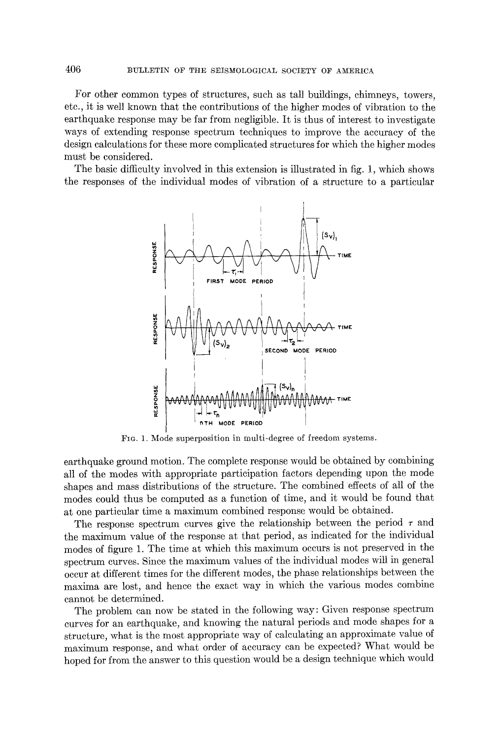For other common types of structures, such as tall buildings, chimneys, towers, etc., it is well known that the contributions of the higher modes of vibration to the earthquake response may be far from negligible. It is thus of interest to investigate ways of extending response spectrum techniques to improve the accuracy of the design calculations for these more complicated structures for which the higher modes must be considered.

The basic difficulty involved in this extension is illustrated in fig. 1, which shows the responses of the individual modes of vibration of a structure to a particular



Fro. 1. Mode superposition in multi-degree of freedom systems.

earthquake ground motion. The complete response would be obtained by combining all of the modes with appropriate participation factors depending upon the mode shapes and mass distributions of the structure. The combined effects of all of the modes could thus be computed as a function of time, and it would be found that at one particular time a maximum combined response would be obtained.

The response spectrum curves give the relationship between the period  $\tau$  and the maximum value of the response at that period, as indicated for the individual modes of figure 1. The time at which this maximum occurs is not preserved in the spectrum curves. Since the maximum values of the individual modes will in general occur at different times for the different modes, the phase relationships between the maxima are lost, and hence the exact way in which the various modes combine cannot be determined.

The problem can now be stated in the following way: Given response spectrum curves for an earthquake, and knowing the natural periods and mode shapes for a structure, what is the most appropriate way of calculating an approximate value of maximum response, and what order of accuracy can be expected? What would be hoped for from the answer to this question would be a design technique which would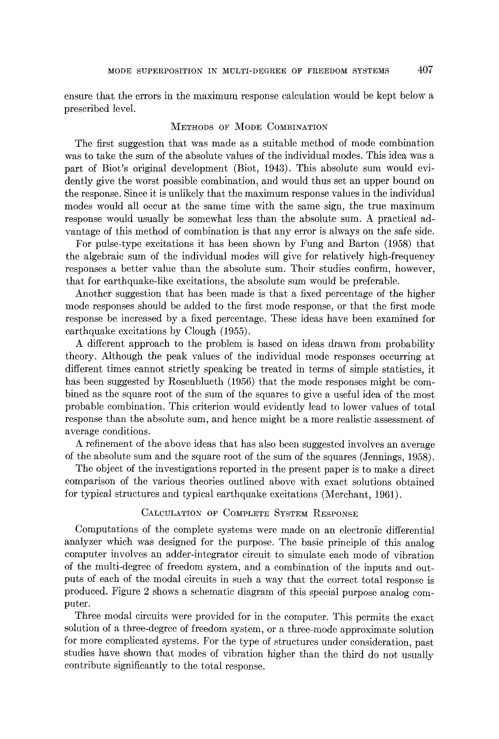ensure that the errors in the maximum response calculation would be kept below a prescribed level.

### METHODS OF MODE COMBINATION

The first suggestion that was made as a suitable method of mode combination was to take the sum of the absolute values of the individual modes. This idea was a part of Blot's original development (Biot, 1943). This absolute sum would evidently give the worst possible combination, and would thus set an upper bound on the response. Since it is unlikely that the maximum response values in the individual modes would all occur at the same time with the same sign, the true maximum response would usually be somewhat less than the absolute sum. A practical advantage of this method of combination is that any error is always on the safe side.

For pulse-type excitations it has been shown by Fung and Barton (1958) that the algebraic sum of the individual modes will give for relatively high-frequency responses a better value than the absolute sum. Their studies confirm, however, that for earthquake-like excitations, the absolute sum would be preferable.

Another suggestion that has been made is that a fixed percentage of the higher mode responses should be added to the first mode response, or that the first mode response be increased by a fixed percentage. These ideas have been examined for earthquake excitations by Clough (1955).

A different approach to the problem is based on ideas drawn from probability theory. Although the peak values of the individual mode responses occurring at different times cannot strictly speaking be treated in terms of simple statistics, it has been suggested by Rosenblueth (1956) that the mode responses might be combined as the square root of the sum of the squares to give a useful idea of the most probable combination. This criterion would evidently lead to lower values of total response than the absolute sum, and hence might be a more realistic assessment of average conditions.

A refinement of the above ideas that has also been suggested involves an average of the absolute sum and the square root of the sum of the squares (Jennings, 1958).

The object of the investigations reported in the present paper is to make a direct comparison of the various theories outlined above with exact solutions obtained for typical structures and typical earthquake excitations (Merchant, 1961).

# CALCULATION OF COMPLETE SYSTEM RESPONSE

Computations of the complete systems were made on an electronic differential analyzer which was designed for the purpose. The basic principle of this analog computer involves an adder-integrator circuit to simulate each mode of vibration of the multi-degree of freedom system, and a combination of the inputs and outputs of each of the modal circuits in such a way that the correct total response is produced. Figure 2 shows a schematic diagram of this special purpose analog computer.

Three modal circuits were provided for in the computer. This permits the exact solution of a three-degree of freedom system, or a three-mode approximate solution for more complicated systems. For the type of structures under consideration, past studies have shown that modes of vibration higher than the third do not usually contribute significantly to the total response.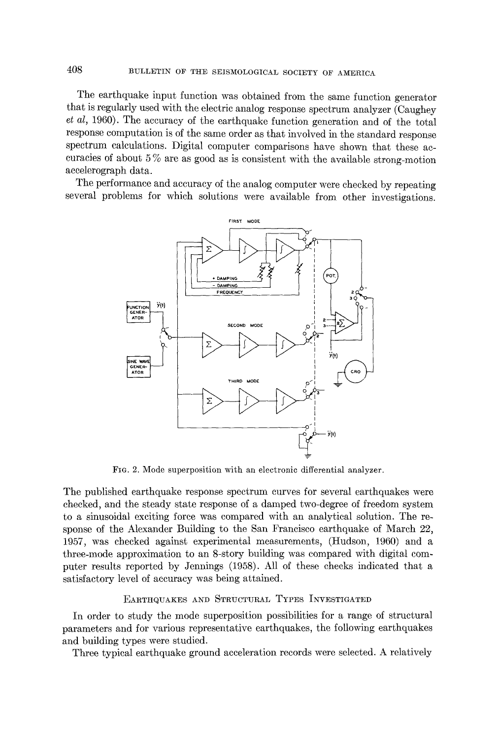408 BULLETIN OF THE SEISMOLOGICAL SOCIETY OF AMERICA

The earthquake input function was obtained from the same function generator that is regularly used with the electric analog response spectrum analyzer (Caughey *et al,* 1960). The accuracy of the earthquake function generation and of the total response computation is of the same order as that involved in the standard response spectrum calculations. Digital computer comparisons have shown that these accuracies of about 5 % are as good as is consistent with the available strong-motion aceelerograph data.

The performance and accuracy of the analog computer were checked by repeating several problems for which solutions were available from other investigations.



FIG. 2. Mode superposition with an electronic differential analyzer.

The published earthquake response spectrum curves for several earthquakes were checked, and the steady state response of a damped two-degree of freedom system to a sinusoidal exciting force was compared with an analytical solution. The response of the Alexander Building to the San Francisco earthquake of March 22, 1957, was checked against experimental measurements, (Hudson, 1960) and a three-mode approximation to an 8-story building was compared with digital computer results reported by Jennings (1958). All of these checks indicated that a satisfactory level of accuracy was being attained.

# EARTHQUAKES AND STRUCTURAL TYPES INVESTIGATED

In order to study the mode superposition possibilities for a range of structural parameters and for various representative earthquakes, the foUowing earthquakes and building types were studied.

Three typical earthquake ground acceleration records were selected. A relatively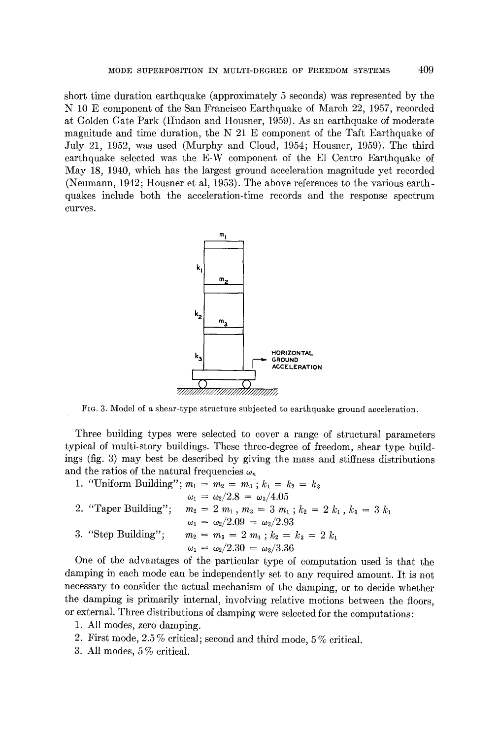short time duration earthquake (approximately 5 seconds) was represented by the N 10 E component of the San Francisco Earthquake of March 22, 1957, recorded at Golden Gate Park (Hudson and Housner, 1959). As an earthquake of moderate magnitude and time duration, the  $N$  21 E component of the Taft Earthquake of July 21, 1952, was used (Murphy and Cloud, 1954; Housner, 1959). The third earthquake selected was the E-W component of the El Centro Earthquake of May 18, 1940, which has the largest ground acceleration magnitude yet recorded (Neumann, 1942; Housner et al, 1953). The above references to the various earthquakes include both the acceleration-time records and the response spectrum curves.



FIG. 3. Model of a shear-type structure subjected to earthquake ground acceleration.

Three building types were selected to cover a range of structural parameters typical of multi-story buildings. These three-degree of freedom, shear type buildings (fig. 3) may best be described by giving the mass and stiffness distributions and the ratios of the natural frequencies  $\omega_n$ 

|                      | 1. "Uniform Building"; $m_1 = m_2 = m_3$ ; $k_1 = k_2 = k_3$  |
|----------------------|---------------------------------------------------------------|
|                      | $\omega_1 = \omega_2/2.8 = \omega_3/4.05$                     |
| 2. "Taper Building"; | $m_2 = 2 m_1$ , $m_3 = 3 m_1$ ; $k_2 = 2 k_1$ , $k_3 = 3 k_1$ |
|                      | $\omega_1 = \omega_2/2.09 = \omega_3/2.93$                    |
| 3. "Step Building";  | $m_2 = m_3 = 2 m_1$ ; $k_2 = k_3 = 2 k_1$                     |
|                      | $\omega_1 = \omega_2/2.30 = \omega_3/3.36$                    |
|                      |                                                               |

One of the advantages of the particular type of computation used is that the damping in each mode can be independently set to any required amount. It is not necessary to consider the actual mechanism of the damping, or to decide whether the damping is primarily internal, involving relative motions between the floors, or external. Three distributions of damping were selected for the computations:

- 1. All modes, zero damping.
- 2. First mode, 2.5 % critical; second and third mode, 5 % critical.
- 3. All modes, 5 % critical.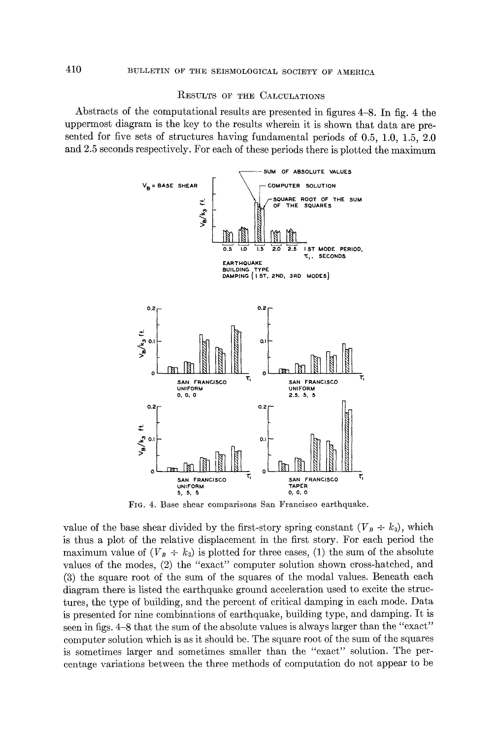#### RESULTS OF THE CALCULATIONS

Abstracts of the computational results are presented in figures 4-8. In fig. 4 the uppermost diagram is the key to the results wherein it is shown that data are presented for five sets of structures having fundamental periods of 0.5, 1.0, 1.5, 2.0 and 2.5 seconds respectively. For each of these periods there is plotted the maximum



FIG. 4. Base shear comparisons San Francisco earthquake.

value of the base shear divided by the first-story spring constant  $(V_B \div k_3)$ , which is thus a plot of the relative displacement in the first story. For each period the maximum value of  $(V_B \div k_3)$  is plotted for three cases, (1) the sum of the absolute values of the modes, (2) the "exact" computer solution shown cross-hatched, and (3) the square root of the sum of the squares of the modal values. Beneath each diagram there is listed the earthquake ground acceleration used to excite the struttures, the type of building, and the percent of critical damping in each mode. Data is presented for nine combinations of earthquake, building type, and damping. It is seen in figs. 4-8 that the sum of the absolute values is always larger than the "exact" computer solution which is as it should be. The square root of the sum of the squares is sometimes larger and sometimes smaller than the "exact" solution. The percentage variations between the three methods of computation do not appear to be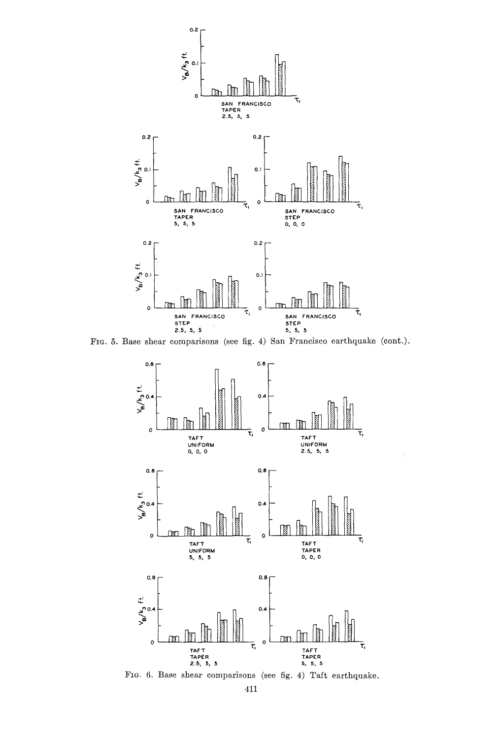

FIG. 5. Base shear comparisons (see fig. 4) San Francisco earthquake (cont.).



FIG. 6. Base shear comparisons (see fig. 4) Taft earthquake.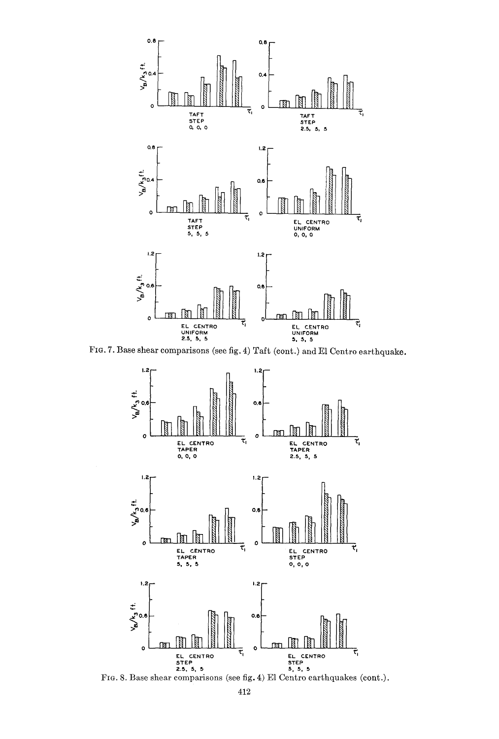

 $(4)$  Taft (cont.) and El Centro earthqu



**o ~NN o**  EL CENT RO "CI EL CENTRO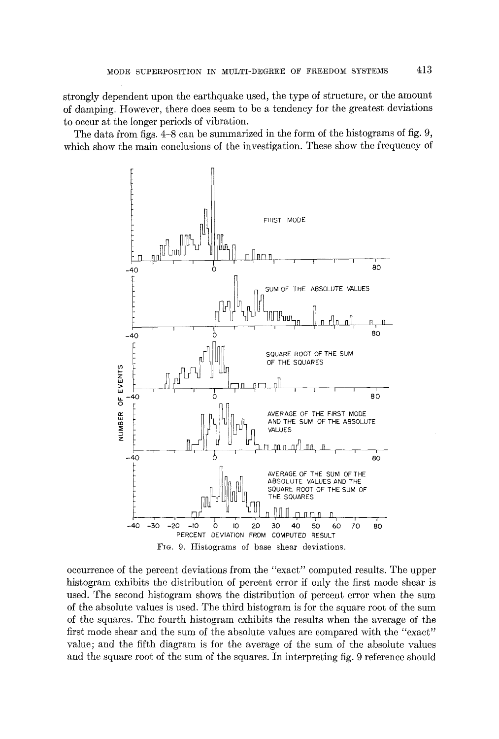strongly dependent upon the earthquake used, the type of structure, or the amount of damping. However, there does seem to be a tendency for the greatest deviations to occur at the longer periods of vibration.

The data from figs. 4-8 can be summarized in the form of the histograms of fig. 9, which show the main conclusions of the investigation. These show the frequency of



occurrence of the percent deviations from the "exact" computed results. The upper histogram exhibits the distribution of percent error if only the first mode shear is used. The second histogram shows the distribution of percent error when the sum of the absolute values is used. The third histogram is for the square root of the sum of the squares. The fourth histogram exhibits the results when the average of the first mode shear and the sum of the absolute values are compared with the "exact" value; and the fifth diagram is for the average of the sum of the absolute values and the square root of the sum of the squares. In interpreting fig. 9 reference should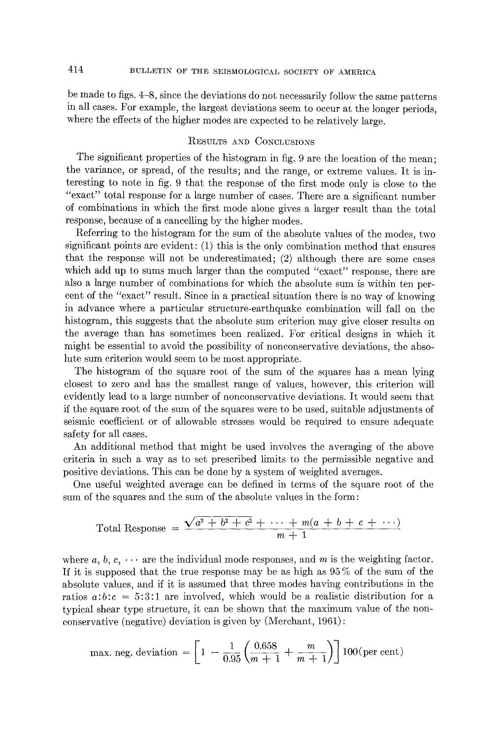be made to figs. 4-8, since the deviations do not necessarily follow the same patterns in all cases. For example, the largest deviations seem to occur at the longer periods, where the effects of the higher modes are expected to be relatively large.

### RESULTS AND CONCLITSIONS

The significant properties of the histogram in fig. 9 are the location of the mean; the variance, or spread, of the results; and the range, or extreme values. It is interesting to note in fig. 9 that the response of the first mode only is close to the "exact" total response for a large number of cases. There are a significant number of combinations in which the first mode alone gives a larger result than the total response, because of a cancelling by the higher modes.

Referring to the histogram for the sum of the absolute values of the modes, two significant points are evident: (1) this is the only combination method that ensures that the response will not be underestimated; (2) although there are some cases which add up to sums much larger than the computed "exact" response, there are also a large number of combinations for which the absolute sum is within ten percent of the "exact" result. Since in a practical situation there is no way of knowing in advance where a particular structure-earthquake combination will fall on the histogram, this suggests that the absolute sum criterion may give closer results on the average than has sometimes been realized. For critical designs in which it might be essential to avoid the possibility of nonconservative deviations, the absolute sum criterion would seem to be most appropriate.

The histogram of the square root of the sum of the squares has a mean lying closest to zero and has the smallest range of values, however, this criterion will evidently lead to a large number of nonconservative deviations. It would seem that if the square root of the sum of the squares were to be used, suitable adiustments of seismie coefficient or of allowable stresses would be required to ensure adequate safety for all cases.

An additional method that might be used involves the averaging of the above eriteria in such a way as to set prescribed limits to the permissible negative and positive deviations. This can be done by a system of weighted averages.

One useful weighted average can be defined in terms of the square root of the sum of the squares and the sum of the absolute values in the form:

Total Response = 
$$
\frac{\sqrt{a^2 + b^2 + c^2} + \cdots + m(a + b + c + \cdots)}{m+1}
$$

where  $a, b, c, \cdots$  are the individual mode responses, and m is the weighting factor. If it is supposed that the true response may be as high as 95 % of the sum of the absolute values, and if it is assumed that three modes having contributions in the ratios  $a:b:c = 5:3:1$  are involved, which would be a realistic distribution for a typical shear type structure, it can be shown that the maximum value of the nonconservative (negative) deviation is given by (Merchant, 1961) :

max. neg. deviation = 
$$
\left[1 - \frac{1}{0.95} \left( \frac{0.658}{m+1} + \frac{m}{m+1} \right) \right]
$$
 100 (per cent)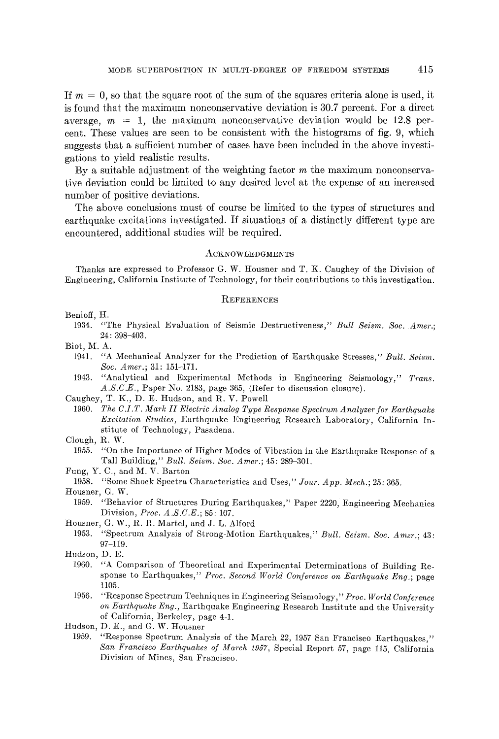If  $m = 0$ , so that the square root of the sum of the squares criteria alone is used, it is found that the maximum nonconservative deviation is 30.7 percent. For a direct average,  $m = 1$ , the maximum nonconservative deviation would be 12.8 percent. These values are seen to be consistent with the histograms of fig. 9, which suggests that a sufficient number of cases have been included in the above investigations to yield realistic results.

By a suitable adjustment of the weighting factor m the maximum nonconservatire deviation could be limited to any desired level at the expense of an increased number of positive deviations.

The above conclusions must of course be limited to the types of structures and earthquake excitations investigated. If situations of a distinctly different type are encountered, additional studies will be required.

#### ACKNOWLEDGMENTS

Thanks are expressed to Professor G. W. Housner and T. K. Caughey of the Division of Engineering, California Institute of Technology, for their contributions to this investigation.

#### **REFERENCES**

Benioff, H.

1934. "The Physical Evaluation of Seismic Destructiveness," *Bull Seism. Soc. Amer.;*  24 : 398-403.

Blot, M. A.

- 1941. *"A* Mechanical Analyzer for the Prediction of Earthquake Stresses," *Bull. Seism. Soc. Amer.;* 31: 151-171.
- 1943. "Analytical and Experimental Methods in Engineering Seismology," *Trans. A.S.C.E.,* Paper No. 2183, page 365, (Refer to discussion closure).

Caughey, T. K., D. E. Hudson, and R. V. Powell

- 1960. *The C.I.T. Mark H Electric Analog Type Response Spectrum Analyzer for Earthquake Excitation Studies,* Earthquake Engineering Research Laboratory, California Institute of Technology, Pasadena.
- Clough, R. W.
	- 1955. *"On* the Importance of Higher Modes of Vibration in the Earthquake Response of a Tall Building," *Bull. Seism. Soc. Amer.;* 45: 289-301.

Fung, Y. C., and M. V. Barton

1958. "Some Shock Spectra Characteristics and Uses," *Jour. App. Mech.;* 25: 365.

1959. "Behavior of Structures During Earthquakes," Paper 2220, Engineering Mechanics Division, *Proe. A.S.C.E.;* 85: 107.

Housner, G. W., R. R. Martel, and J. L. Alford

1953. "Spectrum Analysis of Strong-Motion Earthquakes," *Bull. Seism. Soc. Amer.;* 43: 97-119.

- 1960. "A Comparison of Theoretical and Experimental Determinations of Building Response to Earthquakes," Proc. Second World Conference on Earthquake Eng.; page 1105.
- 1956. "Response Spectrum Techniques in Engineering Seismology," *Proc. World Conference on Earthquake Eng.,* Earthquake Engineering Research Institute and the University of California, Berkeley, page 4-1.
- Hudson, D. E., and G. W. Housner
	- 1959. "Response Spectrum Analysis of the March 22, 1957 San Francisco Earthquakes," *San Francisco Earthquakes of March 1957,* Special Report 57, page 115, California Division of Mines, San Francisco.

Housner, G. W.

Hudson, D. E.